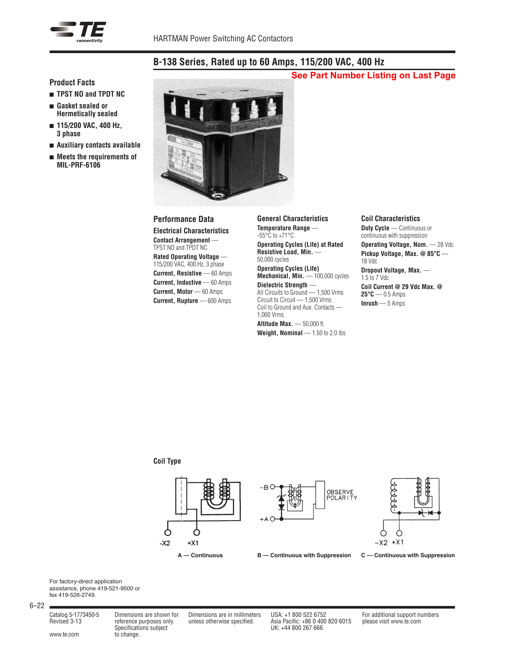

# **B-138 Series, Rated up to 60 Amps, 115/200 VAC, 400 Hz**

# **See Part Number Listing on Last Page**

## **Product Facts**

- <sup>n</sup> **TPST NO and TPDT NC**
- <sup>n</sup> **Gasket sealed or Hermetically sealed**
- 115/200 VAC, 400 Hz, **3 phase**
- <sup>n</sup> **Auxiliary contacts available**
- Meets the requirements of **MIL-PRF-6106**



## **Performance Data**

**Electrical Characteristics Contact Arrangement** — TPST NO and TPDT NC **Rated Operating Voltage** — 115/200 VAC, 400 Hz, 3 phase **Current, Resistive** — 60 Amps **Current, Inductive** — 60 Amps **Current, Motor** — 60 Amps **Current, Rupture** — 600 Amps

**General Characteristics Temperature Range** —  $-55^{\circ}$ C to  $+71^{\circ}$ C **Operating Cycles (Life) at Rated Resistive Load, Min.** — 50,000 cycles **Operating Cycles (Life)** Mechanical, Min. - 100,000 cycles

**Dielectric Strength** — All Circuits to Ground — 1,500 Vrms Circuit to Circuit — 1,500 Vrms Coil to Ground and Aux. Contacts — 1,000 Vrms

**Altitude Max.** — 50,000 ft. **Weight, Nominal** — 1.50 to 2.0 lbs

#### **Coil Characteristics**

**Duty Cycle** — Continuous or continuous with suppression

**Operating Voltage, Nom.** — 28 Vdc **Pickup Voltage, Max. @ 85°C** — 18 Vdc

**Dropout Voltage, Max.** — 1.5 to 7 Vdc

**Coil Current @ 29 Vdc Max. @ 25°C** — 0.5 Amps **Inrush** — 5 Amps

### **Coil Type**





For factory-direct application assistance, phone 419-521-9500 or fax 419-526-2749.

6–22

www.te.com to change.

Specifications subject UK: +44 800 267 666

Catalog 5-1773450-5 Dimensions are shown for Dimensions are in millimeters USA: +1 800 522 6752 For additional support numbers Revised 3-13 reference purposes only. unless otherwise specified. Asia Pacific: +86 0 400 820 6015 please visit www.te.com